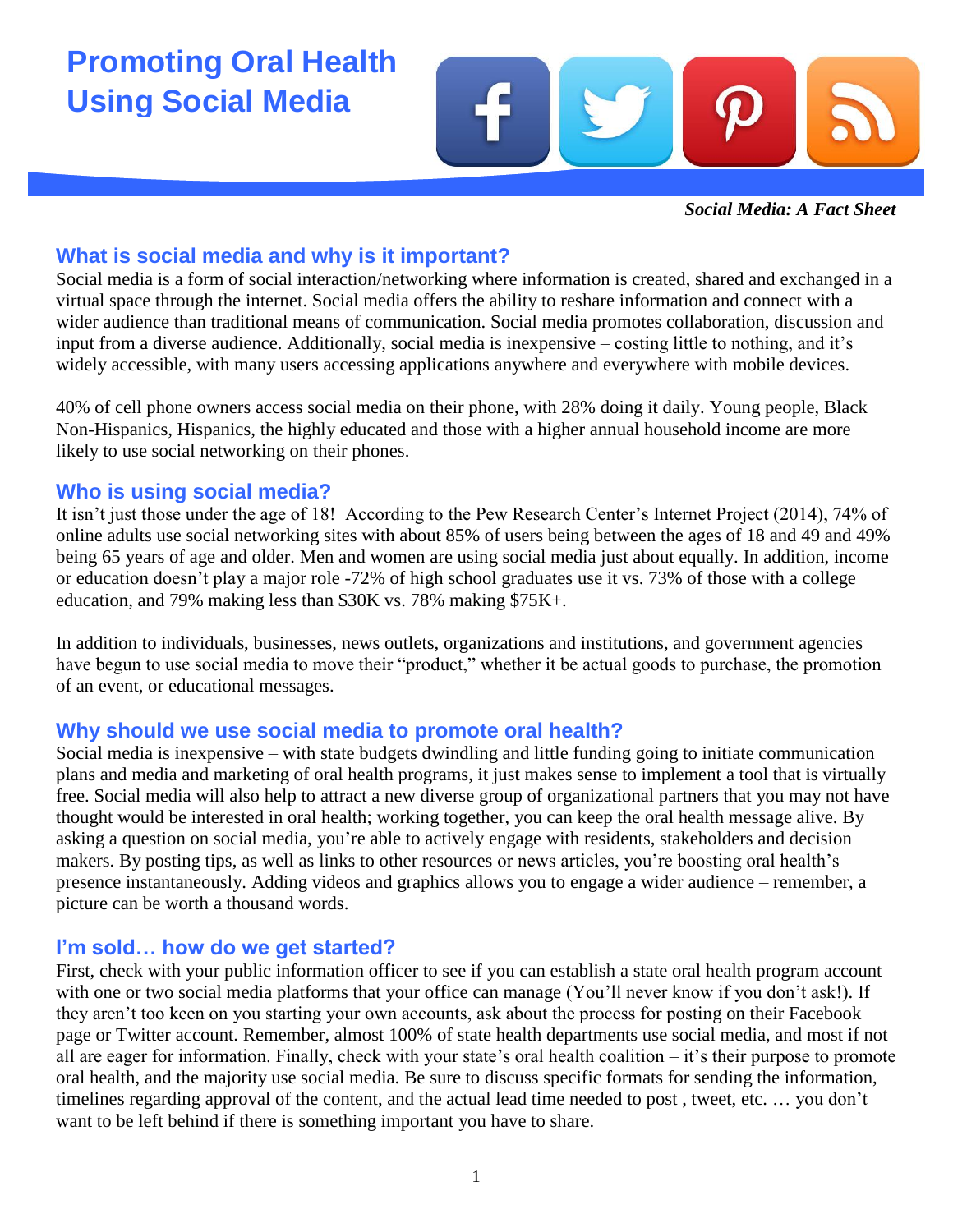# **Promoting Oral Health Using Social Media**



*Social Media: A Fact Sheet*

## **What is social media and why is it important?**

Social media is a form of social interaction/networking where information is created, shared and exchanged in a virtual space through the internet. Social media offers the ability to reshare information and connect with a wider audience than traditional means of communication. Social media promotes collaboration, discussion and input from a diverse audience. Additionally, social media is inexpensive – costing little to nothing, and it's widely accessible, with many users accessing applications anywhere and everywhere with mobile devices.

40% of cell phone owners access social media on their phone, with 28% doing it daily. Young people, Black Non-Hispanics, Hispanics, the highly educated and those with a higher annual household income are more likely to use social networking on their phones.

#### **Who is using social media?**

It isn't just those under the age of 18! According to the Pew Research Center's Internet Project (2014), 74% of online adults use social networking sites with about 85% of users being between the ages of 18 and 49 and 49% being 65 years of age and older. Men and women are using social media just about equally. In addition, income or education doesn't play a major role -72% of high school graduates use it vs. 73% of those with a college education, and 79% making less than \$30K vs. 78% making \$75K+.

In addition to individuals, businesses, news outlets, organizations and institutions, and government agencies have begun to use social media to move their "product," whether it be actual goods to purchase, the promotion of an event, or educational messages.

# **Why should we use social media to promote oral health?**

Social media is inexpensive – with state budgets dwindling and little funding going to initiate communication plans and media and marketing of oral health programs, it just makes sense to implement a tool that is virtually free. Social media will also help to attract a new diverse group of organizational partners that you may not have thought would be interested in oral health; working together, you can keep the oral health message alive. By asking a question on social media, you're able to actively engage with residents, stakeholders and decision makers. By posting tips, as well as links to other resources or news articles, you're boosting oral health's presence instantaneously. Adding videos and graphics allows you to engage a wider audience – remember, a picture can be worth a thousand words.

#### **I'm sold… how do we get started?**

First, check with your public information officer to see if you can establish a state oral health program account with one or two social media platforms that your office can manage (You'll never know if you don't ask!). If they aren't too keen on you starting your own accounts, ask about the process for posting on their Facebook page or Twitter account. Remember, almost 100% of state health departments use social media, and most if not all are eager for information. Finally, check with your state's oral health coalition – it's their purpose to promote oral health, and the majority use social media. Be sure to discuss specific formats for sending the information, timelines regarding approval of the content, and the actual lead time needed to post , tweet, etc. … you don't want to be left behind if there is something important you have to share.